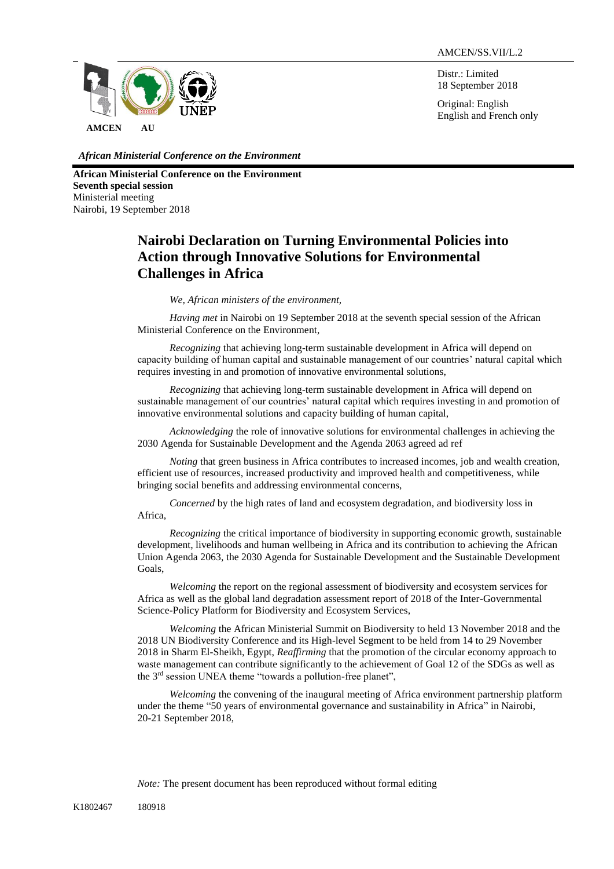Distr.: Limited 18 September 2018

Original: English English and French only



*African Ministerial Conference on the Environment*

**African Ministerial Conference on the Environment Seventh special session**  Ministerial meeting Nairobi, 19 September 2018

## **Nairobi Declaration on Turning Environmental Policies into Action through Innovative Solutions for Environmental Challenges in Africa**

*We, African ministers of the environment,*

*Having met in* Nairobi on 19 September 2018 at the seventh special session of the African Ministerial Conference on the Environment,

*Recognizing* that achieving long-term sustainable development in Africa will depend on capacity building of human capital and sustainable management of our countries' natural capital which requires investing in and promotion of innovative environmental solutions,

*Recognizing* that achieving long-term sustainable development in Africa will depend on sustainable management of our countries' natural capital which requires investing in and promotion of innovative environmental solutions and capacity building of human capital,

*Acknowledging* the role of innovative solutions for environmental challenges in achieving the 2030 Agenda for Sustainable Development and the Agenda 2063 agreed ad ref

*Noting* that green business in Africa contributes to increased incomes, job and wealth creation, efficient use of resources, increased productivity and improved health and competitiveness, while bringing social benefits and addressing environmental concerns,

*Concerned* by the high rates of land and ecosystem degradation, and biodiversity loss in Africa,

*Recognizing* the critical importance of biodiversity in supporting economic growth, sustainable development, livelihoods and human wellbeing in Africa and its contribution to achieving the African Union Agenda 2063, the 2030 Agenda for Sustainable Development and the Sustainable Development Goals,

*Welcoming* the report on the regional assessment of biodiversity and ecosystem services for Africa as well as the global land degradation assessment report of 2018 of the Inter-Governmental Science-Policy Platform for Biodiversity and Ecosystem Services,

*Welcoming* the African Ministerial Summit on Biodiversity to held 13 November 2018 and the 2018 UN Biodiversity Conference and its High-level Segment to be held from 14 to 29 November 2018 in Sharm El-Sheikh, Egypt, *Reaffirming* that the promotion of the circular economy approach to waste management can contribute significantly to the achievement of Goal 12 of the SDGs as well as the 3rd session UNEA theme "towards a pollution-free planet",

*Welcoming* the convening of the inaugural meeting of Africa environment partnership platform under the theme "50 years of environmental governance and sustainability in Africa" in Nairobi, 20-21 September 2018,

*Note:* The present document has been reproduced without formal editing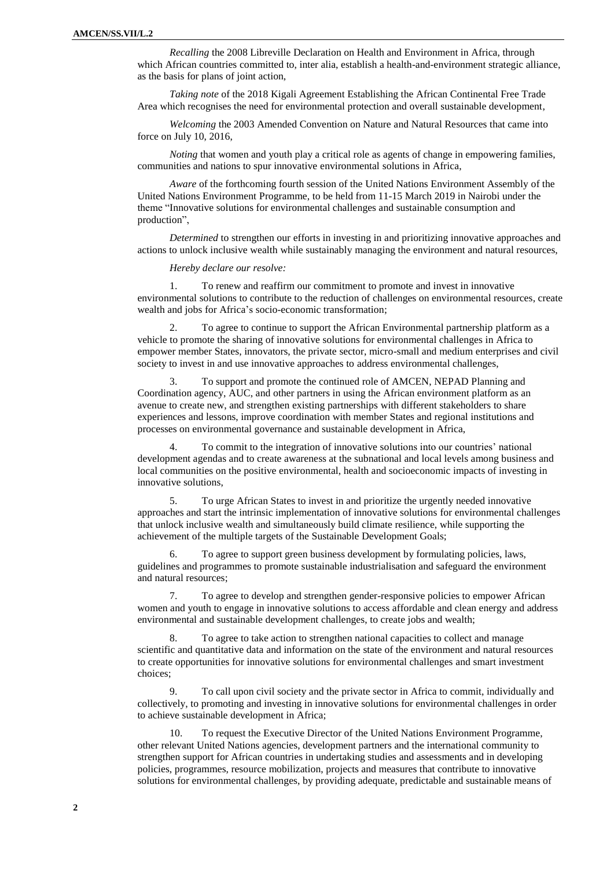*Recalling* the 2008 Libreville Declaration on Health and Environment in Africa, through which African countries committed to, inter alia, establish a health-and-environment strategic alliance, as the basis for plans of joint action,

*Taking note* of the 2018 Kigali Agreement Establishing the African Continental Free Trade Area which recognises the need for environmental protection and overall sustainable development,

*Welcoming* the 2003 Amended Convention on Nature and Natural Resources that came into force on July 10, 2016,

*Noting* that women and youth play a critical role as agents of change in empowering families, communities and nations to spur innovative environmental solutions in Africa,

*Aware* of the forthcoming fourth session of the United Nations Environment Assembly of the United Nations Environment Programme, to be held from 11-15 March 2019 in Nairobi under the theme "Innovative solutions for environmental challenges and sustainable consumption and production",

*Determined* to strengthen our efforts in investing in and prioritizing innovative approaches and actions to unlock inclusive wealth while sustainably managing the environment and natural resources,

*Hereby declare our resolve:*

1. To renew and reaffirm our commitment to promote and invest in innovative environmental solutions to contribute to the reduction of challenges on environmental resources, create wealth and jobs for Africa's socio-economic transformation;

2. To agree to continue to support the African Environmental partnership platform as a vehicle to promote the sharing of innovative solutions for environmental challenges in Africa to empower member States, innovators, the private sector, micro-small and medium enterprises and civil society to invest in and use innovative approaches to address environmental challenges,

3. To support and promote the continued role of AMCEN, NEPAD Planning and Coordination agency, AUC, and other partners in using the African environment platform as an avenue to create new, and strengthen existing partnerships with different stakeholders to share experiences and lessons, improve coordination with member States and regional institutions and processes on environmental governance and sustainable development in Africa,

4. To commit to the integration of innovative solutions into our countries' national development agendas and to create awareness at the subnational and local levels among business and local communities on the positive environmental, health and socioeconomic impacts of investing in innovative solutions,

5. To urge African States to invest in and prioritize the urgently needed innovative approaches and start the intrinsic implementation of innovative solutions for environmental challenges that unlock inclusive wealth and simultaneously build climate resilience, while supporting the achievement of the multiple targets of the Sustainable Development Goals;

6. To agree to support green business development by formulating policies, laws, guidelines and programmes to promote sustainable industrialisation and safeguard the environment and natural resources;

7. To agree to develop and strengthen gender-responsive policies to empower African women and youth to engage in innovative solutions to access affordable and clean energy and address environmental and sustainable development challenges, to create jobs and wealth;

8. To agree to take action to strengthen national capacities to collect and manage scientific and quantitative data and information on the state of the environment and natural resources to create opportunities for innovative solutions for environmental challenges and smart investment choices;

9. To call upon civil society and the private sector in Africa to commit, individually and collectively, to promoting and investing in innovative solutions for environmental challenges in order to achieve sustainable development in Africa;

10. To request the Executive Director of the United Nations Environment Programme, other relevant United Nations agencies, development partners and the international community to strengthen support for African countries in undertaking studies and assessments and in developing policies, programmes, resource mobilization, projects and measures that contribute to innovative solutions for environmental challenges, by providing adequate, predictable and sustainable means of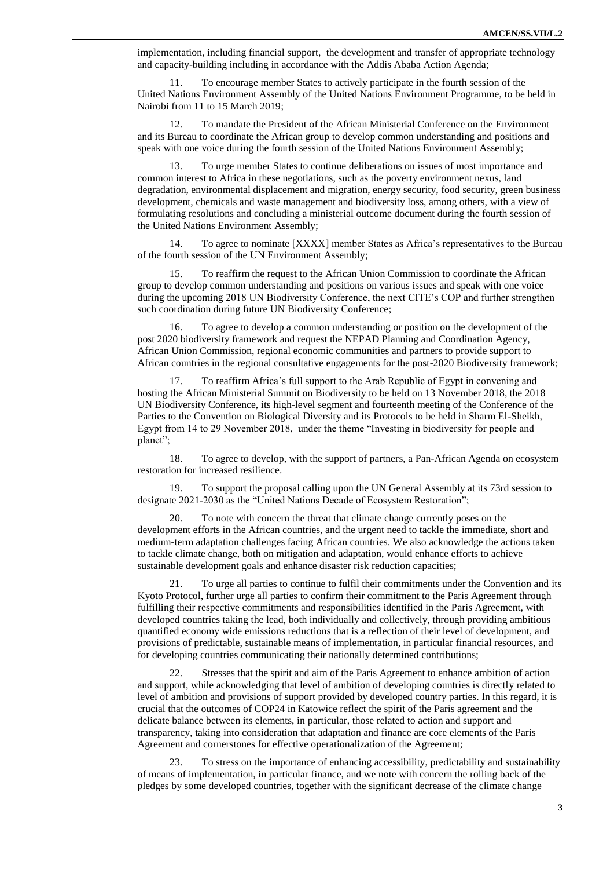implementation, including financial support, the development and transfer of appropriate technology and capacity-building including in accordance with the Addis Ababa Action Agenda;

11. To encourage member States to actively participate in the fourth session of the United Nations Environment Assembly of the United Nations Environment Programme, to be held in Nairobi from 11 to 15 March 2019;

12. To mandate the President of the African Ministerial Conference on the Environment and its Bureau to coordinate the African group to develop common understanding and positions and speak with one voice during the fourth session of the United Nations Environment Assembly;

13. To urge member States to continue deliberations on issues of most importance and common interest to Africa in these negotiations, such as the poverty environment nexus, land degradation, environmental displacement and migration, energy security, food security, green business development, chemicals and waste management and biodiversity loss, among others, with a view of formulating resolutions and concluding a ministerial outcome document during the fourth session of the United Nations Environment Assembly;

14. To agree to nominate [XXXX] member States as Africa's representatives to the Bureau of the fourth session of the UN Environment Assembly;

15. To reaffirm the request to the African Union Commission to coordinate the African group to develop common understanding and positions on various issues and speak with one voice during the upcoming 2018 UN Biodiversity Conference, the next CITE's COP and further strengthen such coordination during future UN Biodiversity Conference;

16. To agree to develop a common understanding or position on the development of the post 2020 biodiversity framework and request the NEPAD Planning and Coordination Agency, African Union Commission, regional economic communities and partners to provide support to African countries in the regional consultative engagements for the post-2020 Biodiversity framework;

17. To reaffirm Africa's full support to the Arab Republic of Egypt in convening and hosting the African Ministerial Summit on Biodiversity to be held on 13 November 2018, the 2018 UN Biodiversity Conference, its high-level segment and fourteenth meeting of the Conference of the Parties to the Convention on Biological Diversity and its Protocols to be held in Sharm El-Sheikh, Egypt from 14 to 29 November 2018, under the theme "Investing in biodiversity for people and planet";

18. To agree to develop, with the support of partners, a Pan-African Agenda on ecosystem restoration for increased resilience.

19. To support the proposal calling upon the UN General Assembly at its 73rd session to designate 2021-2030 as the "United Nations Decade of Ecosystem Restoration";

20. To note with concern the threat that climate change currently poses on the development efforts in the African countries, and the urgent need to tackle the immediate, short and medium-term adaptation challenges facing African countries. We also acknowledge the actions taken to tackle climate change, both on mitigation and adaptation, would enhance efforts to achieve sustainable development goals and enhance disaster risk reduction capacities;

21. To urge all parties to continue to fulfil their commitments under the Convention and its Kyoto Protocol, further urge all parties to confirm their commitment to the Paris Agreement through fulfilling their respective commitments and responsibilities identified in the Paris Agreement, with developed countries taking the lead, both individually and collectively, through providing ambitious quantified economy wide emissions reductions that is a reflection of their level of development, and provisions of predictable, sustainable means of implementation, in particular financial resources, and for developing countries communicating their nationally determined contributions;

22. Stresses that the spirit and aim of the Paris Agreement to enhance ambition of action and support, while acknowledging that level of ambition of developing countries is directly related to level of ambition and provisions of support provided by developed country parties. In this regard, it is crucial that the outcomes of COP24 in Katowice reflect the spirit of the Paris agreement and the delicate balance between its elements, in particular, those related to action and support and transparency, taking into consideration that adaptation and finance are core elements of the Paris Agreement and cornerstones for effective operationalization of the Agreement;

23. To stress on the importance of enhancing accessibility, predictability and sustainability of means of implementation, in particular finance, and we note with concern the rolling back of the pledges by some developed countries, together with the significant decrease of the climate change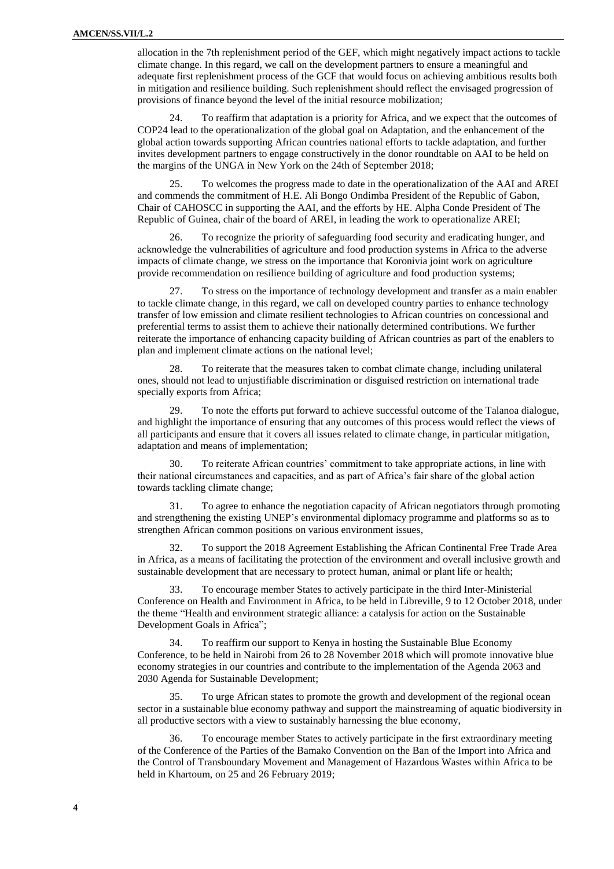allocation in the 7th replenishment period of the GEF, which might negatively impact actions to tackle climate change. In this regard, we call on the development partners to ensure a meaningful and adequate first replenishment process of the GCF that would focus on achieving ambitious results both in mitigation and resilience building. Such replenishment should reflect the envisaged progression of provisions of finance beyond the level of the initial resource mobilization;

24. To reaffirm that adaptation is a priority for Africa, and we expect that the outcomes of COP24 lead to the operationalization of the global goal on Adaptation, and the enhancement of the global action towards supporting African countries national efforts to tackle adaptation, and further invites development partners to engage constructively in the donor roundtable on AAI to be held on the margins of the UNGA in New York on the 24th of September 2018;

25. To welcomes the progress made to date in the operationalization of the AAI and AREI and commends the commitment of H.E. Ali Bongo Ondimba President of the Republic of Gabon, Chair of CAHOSCC in supporting the AAI, and the efforts by HE. Alpha Conde President of The Republic of Guinea, chair of the board of AREI, in leading the work to operationalize AREI;

26. To recognize the priority of safeguarding food security and eradicating hunger, and acknowledge the vulnerabilities of agriculture and food production systems in Africa to the adverse impacts of climate change, we stress on the importance that Koronivia joint work on agriculture provide recommendation on resilience building of agriculture and food production systems;

27. To stress on the importance of technology development and transfer as a main enabler to tackle climate change, in this regard, we call on developed country parties to enhance technology transfer of low emission and climate resilient technologies to African countries on concessional and preferential terms to assist them to achieve their nationally determined contributions. We further reiterate the importance of enhancing capacity building of African countries as part of the enablers to plan and implement climate actions on the national level;

28. To reiterate that the measures taken to combat climate change, including unilateral ones, should not lead to unjustifiable discrimination or disguised restriction on international trade specially exports from Africa;

29. To note the efforts put forward to achieve successful outcome of the Talanoa dialogue, and highlight the importance of ensuring that any outcomes of this process would reflect the views of all participants and ensure that it covers all issues related to climate change, in particular mitigation, adaptation and means of implementation;

30. To reiterate African countries' commitment to take appropriate actions, in line with their national circumstances and capacities, and as part of Africa's fair share of the global action towards tackling climate change;

31. To agree to enhance the negotiation capacity of African negotiators through promoting and strengthening the existing UNEP's environmental diplomacy programme and platforms so as to strengthen African common positions on various environment issues,

32. To support the 2018 Agreement Establishing the African Continental Free Trade Area in Africa, as a means of facilitating the protection of the environment and overall inclusive growth and sustainable development that are necessary to protect human, animal or plant life or health;

33. To encourage member States to actively participate in the third Inter-Ministerial Conference on Health and Environment in Africa, to be held in Libreville, 9 to 12 October 2018, under the theme "Health and environment strategic alliance: a catalysis for action on the Sustainable Development Goals in Africa";

34. To reaffirm our support to Kenya in hosting the Sustainable Blue Economy Conference, to be held in Nairobi from 26 to 28 November 2018 which will promote innovative blue economy strategies in our countries and contribute to the implementation of the Agenda 2063 and 2030 Agenda for Sustainable Development;

35. To urge African states to promote the growth and development of the regional ocean sector in a sustainable blue economy pathway and support the mainstreaming of aquatic biodiversity in all productive sectors with a view to sustainably harnessing the blue economy,

36. To encourage member States to actively participate in the first extraordinary meeting of the Conference of the Parties of the Bamako Convention on the Ban of the Import into Africa and the Control of Transboundary Movement and Management of Hazardous Wastes within Africa to be held in Khartoum, on 25 and 26 February 2019;